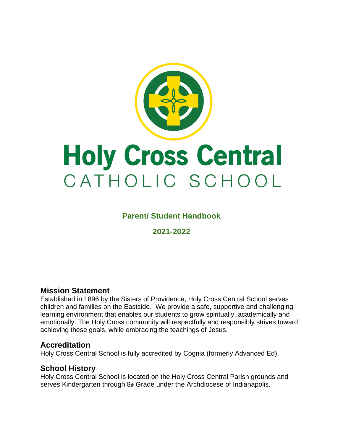

# **Parent/ Student Handbook**

**2021-2022**

# **Mission Statement**

Established in 1896 by the Sisters of Providence, Holy Cross Central School serves children and families on the Eastside. We provide a safe, supportive and challenging learning environment that enables our students to grow spiritually, academically and emotionally. The Holy Cross community will respectfully and responsibly strives toward achieving these goals, while embracing the teachings of Jesus.

# **Accreditation**

Holy Cross Central School is fully accredited by Cognia (formerly Advanced Ed).

# **School History**

Holy Cross Central School is located on the Holy Cross Central Parish grounds and serves Kindergarten through 8th Grade under the Archdiocese of Indianapolis.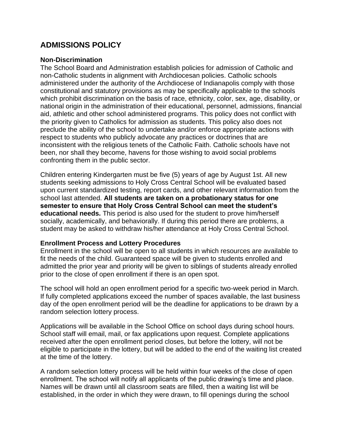# **ADMISSIONS POLICY**

#### **Non-Discrimination**

The School Board and Administration establish policies for admission of Catholic and non-Catholic students in alignment with Archdiocesan policies. Catholic schools administered under the authority of the Archdiocese of Indianapolis comply with those constitutional and statutory provisions as may be specifically applicable to the schools which prohibit discrimination on the basis of race, ethnicity, color, sex, age, disability, or national origin in the administration of their educational, personnel, admissions, financial aid, athletic and other school administered programs. This policy does not conflict with the priority given to Catholics for admission as students. This policy also does not preclude the ability of the school to undertake and/or enforce appropriate actions with respect to students who publicly advocate any practices or doctrines that are inconsistent with the religious tenets of the Catholic Faith. Catholic schools have not been, nor shall they become, havens for those wishing to avoid social problems confronting them in the public sector.

Children entering Kindergarten must be five (5) years of age by August 1st. All new students seeking admissions to Holy Cross Central School will be evaluated based upon current standardized testing, report cards, and other relevant information from the school last attended. **All students are taken on a probationary status for one semester to ensure that Holy Cross Central School can meet the student's educational needs.** This period is also used for the student to prove him/herself socially, academically, and behaviorally. If during this period there are problems, a student may be asked to withdraw his/her attendance at Holy Cross Central School.

## **Enrollment Process and Lottery Procedures**

Enrollment in the school will be open to all students in which resources are available to fit the needs of the child. Guaranteed space will be given to students enrolled and admitted the prior year and priority will be given to siblings of students already enrolled prior to the close of open enrollment if there is an open spot.

The school will hold an open enrollment period for a specific two-week period in March. If fully completed applications exceed the number of spaces available, the last business day of the open enrollment period will be the deadline for applications to be drawn by a random selection lottery process.

Applications will be available in the School Office on school days during school hours. School staff will email, mail, or fax applications upon request. Complete applications received after the open enrollment period closes, but before the lottery, will not be eligible to participate in the lottery, but will be added to the end of the waiting list created at the time of the lottery.

A random selection lottery process will be held within four weeks of the close of open enrollment. The school will notify all applicants of the public drawing's time and place. Names will be drawn until all classroom seats are filled, then a waiting list will be established, in the order in which they were drawn, to fill openings during the school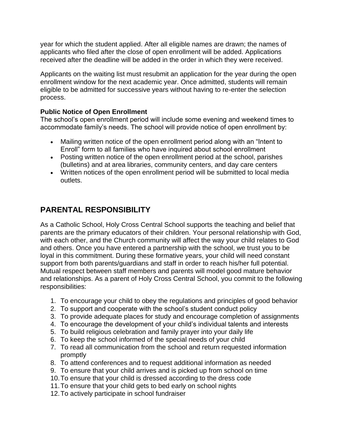year for which the student applied. After all eligible names are drawn; the names of applicants who filed after the close of open enrollment will be added. Applications received after the deadline will be added in the order in which they were received.

Applicants on the waiting list must resubmit an application for the year during the open enrollment window for the next academic year. Once admitted, students will remain eligible to be admitted for successive years without having to re-enter the selection process.

# **Public Notice of Open Enrollment**

The school's open enrollment period will include some evening and weekend times to accommodate family's needs. The school will provide notice of open enrollment by:

- Mailing written notice of the open enrollment period along with an "Intent to Enroll" form to all families who have inquired about school enrollment
- Posting written notice of the open enrollment period at the school, parishes (bulletins) and at area libraries, community centers, and day care centers
- Written notices of the open enrollment period will be submitted to local media outlets.

# **PARENTAL RESPONSIBILITY**

As a Catholic School, Holy Cross Central School supports the teaching and belief that parents are the primary educators of their children. Your personal relationship with God, with each other, and the Church community will affect the way your child relates to God and others. Once you have entered a partnership with the school, we trust you to be loyal in this commitment. During these formative years, your child will need constant support from both parents/guardians and staff in order to reach his/her full potential. Mutual respect between staff members and parents will model good mature behavior and relationships. As a parent of Holy Cross Central School, you commit to the following responsibilities:

- 1. To encourage your child to obey the regulations and principles of good behavior
- 2. To support and cooperate with the school's student conduct policy
- 3. To provide adequate places for study and encourage completion of assignments
- 4. To encourage the development of your child's individual talents and interests
- 5. To build religious celebration and family prayer into your daily life
- 6. To keep the school informed of the special needs of your child
- 7. To read all communication from the school and return requested information promptly
- 8. To attend conferences and to request additional information as needed
- 9. To ensure that your child arrives and is picked up from school on time
- 10.To ensure that your child is dressed according to the dress code
- 11.To ensure that your child gets to bed early on school nights
- 12.To actively participate in school fundraiser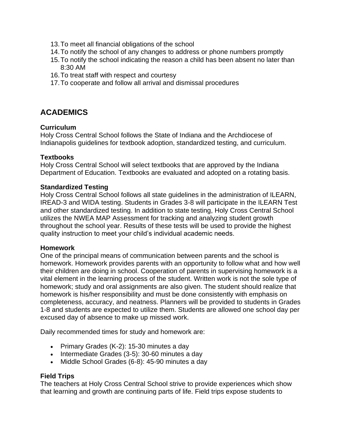- 13.To meet all financial obligations of the school
- 14.To notify the school of any changes to address or phone numbers promptly
- 15.To notify the school indicating the reason a child has been absent no later than 8:30 AM
- 16.To treat staff with respect and courtesy
- 17.To cooperate and follow all arrival and dismissal procedures

# **ACADEMICS**

## **Curriculum**

Holy Cross Central School follows the State of Indiana and the Archdiocese of Indianapolis guidelines for textbook adoption, standardized testing, and curriculum.

#### **Textbooks**

Holy Cross Central School will select textbooks that are approved by the Indiana Department of Education. Textbooks are evaluated and adopted on a rotating basis.

#### **Standardized Testing**

Holy Cross Central School follows all state guidelines in the administration of ILEARN, IREAD-3 and WIDA testing. Students in Grades 3-8 will participate in the ILEARN Test and other standardized testing. In addition to state testing, Holy Cross Central School utilizes the NWEA MAP Assessment for tracking and analyzing student growth throughout the school year. Results of these tests will be used to provide the highest quality instruction to meet your child's individual academic needs.

#### **Homework**

One of the principal means of communication between parents and the school is homework. Homework provides parents with an opportunity to follow what and how well their children are doing in school. Cooperation of parents in supervising homework is a vital element in the learning process of the student. Written work is not the sole type of homework; study and oral assignments are also given. The student should realize that homework is his/her responsibility and must be done consistently with emphasis on completeness, accuracy, and neatness. Planners will be provided to students in Grades 1-8 and students are expected to utilize them. Students are allowed one school day per excused day of absence to make up missed work.

Daily recommended times for study and homework are:

- Primary Grades (K-2): 15-30 minutes a day
- Intermediate Grades (3-5): 30-60 minutes a day
- Middle School Grades (6-8): 45-90 minutes a day

## **Field Trips**

The teachers at Holy Cross Central School strive to provide experiences which show that learning and growth are continuing parts of life. Field trips expose students to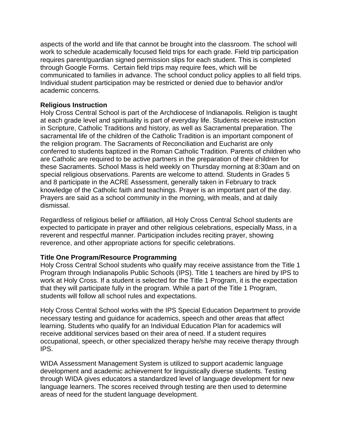aspects of the world and life that cannot be brought into the classroom. The school will work to schedule academically focused field trips for each grade. Field trip participation requires parent/guardian signed permission slips for each student. This is completed through Google Forms. Certain field trips may require fees, which will be communicated to families in advance. The school conduct policy applies to all field trips. Individual student participation may be restricted or denied due to behavior and/or academic concerns.

## **Religious Instruction**

Holy Cross Central School is part of the Archdiocese of Indianapolis. Religion is taught at each grade level and spirituality is part of everyday life. Students receive instruction in Scripture, Catholic Traditions and history, as well as Sacramental preparation. The sacramental life of the children of the Catholic Tradition is an important component of the religion program. The Sacraments of Reconciliation and Eucharist are only conferred to students baptized in the Roman Catholic Tradition. Parents of children who are Catholic are required to be active partners in the preparation of their children for these Sacraments. School Mass is held weekly on Thursday morning at 8:30am and on special religious observations. Parents are welcome to attend. Students in Grades 5 and 8 participate in the ACRE Assessment, generally taken in February to track knowledge of the Catholic faith and teachings. Prayer is an important part of the day. Prayers are said as a school community in the morning, with meals, and at daily dismissal.

Regardless of religious belief or affiliation, all Holy Cross Central School students are expected to participate in prayer and other religious celebrations, especially Mass, in a reverent and respectful manner. Participation includes reciting prayer, showing reverence, and other appropriate actions for specific celebrations.

## **Title One Program/Resource Programming**

Holy Cross Central School students who qualify may receive assistance from the Title 1 Program through Indianapolis Public Schools (IPS). Title 1 teachers are hired by IPS to work at Holy Cross. If a student is selected for the Title 1 Program, it is the expectation that they will participate fully in the program. While a part of the Title 1 Program, students will follow all school rules and expectations.

Holy Cross Central School works with the IPS Special Education Department to provide necessary testing and guidance for academics, speech and other areas that affect learning. Students who qualify for an Individual Education Plan for academics will receive additional services based on their area of need. If a student requires occupational, speech, or other specialized therapy he/she may receive therapy through IPS.

WIDA Assessment Management System is utilized to support academic language development and academic achievement for linguistically diverse students. Testing through WIDA gives educators a standardized level of language development for new language learners. The scores received through testing are then used to determine areas of need for the student language development.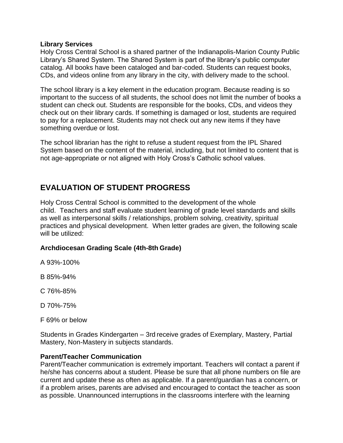#### **Library Services**

Holy Cross Central School is a shared partner of the Indianapolis-Marion County Public Library's Shared System. The Shared System is part of the library's public computer catalog. All books have been cataloged and bar-coded. Students can request books, CDs, and videos online from any library in the city, with delivery made to the school.

The school library is a key element in the education program. Because reading is so important to the success of all students, the school does not limit the number of books a student can check out. Students are responsible for the books, CDs, and videos they check out on their library cards. If something is damaged or lost, students are required to pay for a replacement. Students may not check out any new items if they have something overdue or lost.

The school librarian has the right to refuse a student request from the IPL Shared System based on the content of the material, including, but not limited to content that is not age-appropriate or not aligned with Holy Cross's Catholic school values.

# **EVALUATION OF STUDENT PROGRESS**

Holy Cross Central School is committed to the development of the whole child. Teachers and staff evaluate student learning of grade level standards and skills as well as interpersonal skills / relationships, problem solving, creativity, spiritual practices and physical development. When letter grades are given, the following scale will be utilized:

## **Archdiocesan Grading Scale (4th-8th Grade)**

A 93%-100%

B 85%-94%

C 76%-85%

- D 70%-75%
- F 69% or below

Students in Grades Kindergarten – 3rd receive grades of Exemplary, Mastery, Partial Mastery, Non-Mastery in subjects standards.

## **Parent/Teacher Communication**

Parent/Teacher communication is extremely important. Teachers will contact a parent if he/she has concerns about a student. Please be sure that all phone numbers on file are current and update these as often as applicable. If a parent/guardian has a concern, or if a problem arises, parents are advised and encouraged to contact the teacher as soon as possible. Unannounced interruptions in the classrooms interfere with the learning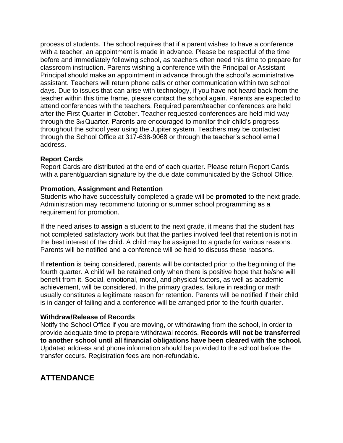process of students. The school requires that if a parent wishes to have a conference with a teacher, an appointment is made in advance. Please be respectful of the time before and immediately following school, as teachers often need this time to prepare for classroom instruction. Parents wishing a conference with the Principal or Assistant Principal should make an appointment in advance through the school's administrative assistant. Teachers will return phone calls or other communication within two school days. Due to issues that can arise with technology, if you have not heard back from the teacher within this time frame, please contact the school again. Parents are expected to attend conferences with the teachers. Required parent/teacher conferences are held after the First Quarter in October. Teacher requested conferences are held mid-way through the 3rd Quarter. Parents are encouraged to monitor their child's progress throughout the school year using the Jupiter system. Teachers may be contacted through the School Office at 317-638-9068 or through the teacher's school email address.

## **Report Cards**

Report Cards are distributed at the end of each quarter. Please return Report Cards with a parent/guardian signature by the due date communicated by the School Office.

#### **Promotion, Assignment and Retention**

Students who have successfully completed a grade will be **promoted** to the next grade. Administration may recommend tutoring or summer school programming as a requirement for promotion.

If the need arises to **assign** a student to the next grade, it means that the student has not completed satisfactory work but that the parties involved feel that retention is not in the best interest of the child. A child may be assigned to a grade for various reasons. Parents will be notified and a conference will be held to discuss these reasons.

If **retention** is being considered, parents will be contacted prior to the beginning of the fourth quarter. A child will be retained only when there is positive hope that he/she will benefit from it. Social, emotional, moral, and physical factors, as well as academic achievement, will be considered. In the primary grades, failure in reading or math usually constitutes a legitimate reason for retention. Parents will be notified if their child is in danger of failing and a conference will be arranged prior to the fourth quarter.

#### **Withdraw/Release of Records**

Notify the School Office if you are moving, or withdrawing from the school, in order to provide adequate time to prepare withdrawal records. **Records will not be transferred to another school until all financial obligations have been cleared with the school.**  Updated address and phone information should be provided to the school before the transfer occurs. Registration fees are non-refundable.

# **ATTENDANCE**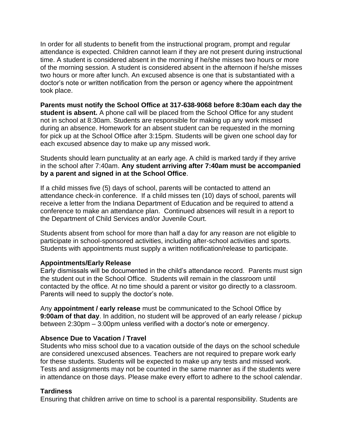In order for all students to benefit from the instructional program, prompt and regular attendance is expected. Children cannot learn if they are not present during instructional time. A student is considered absent in the morning if he/she misses two hours or more of the morning session. A student is considered absent in the afternoon if he/she misses two hours or more after lunch. An excused absence is one that is substantiated with a doctor's note or written notification from the person or agency where the appointment took place.

**Parents must notify the School Office at 317-638-9068 before 8:30am each day the student is absent.** A phone call will be placed from the School Office for any student not in school at 8:30am. Students are responsible for making up any work missed during an absence. Homework for an absent student can be requested in the morning for pick up at the School Office after 3:15pm. Students will be given one school day for each excused absence day to make up any missed work.

Students should learn punctuality at an early age. A child is marked tardy if they arrive in the school after 7:40am. **Any student arriving after 7:40am must be accompanied by a parent and signed in at the School Office**.

If a child misses five (5) days of school, parents will be contacted to attend an attendance check-in conference. If a child misses ten (10) days of school, parents will receive a letter from the Indiana Department of Education and be required to attend a conference to make an attendance plan. Continued absences will result in a report to the Department of Child Services and/or Juvenile Court.

Students absent from school for more than half a day for any reason are not eligible to participate in school-sponsored activities, including after-school activities and sports. Students with appointments must supply a written notification/release to participate.

## **Appointments/Early Release**

Early dismissals will be documented in the child's attendance record. Parents must sign the student out in the School Office. Students will remain in the classroom until contacted by the office. At no time should a parent or visitor go directly to a classroom. Parents will need to supply the doctor's note.

Any **appointment / early release** must be communicated to the School Office by **9:00am of that day**. In addition, no student will be approved of an early release / pickup between 2:30pm – 3:00pm unless verified with a doctor's note or emergency.

# **Absence Due to Vacation / Travel**

Students who miss school due to a vacation outside of the days on the school schedule are considered unexcused absences. Teachers are not required to prepare work early for these students. Students will be expected to make up any tests and missed work. Tests and assignments may not be counted in the same manner as if the students were in attendance on those days. Please make every effort to adhere to the school calendar.

# **Tardiness**

Ensuring that children arrive on time to school is a parental responsibility. Students are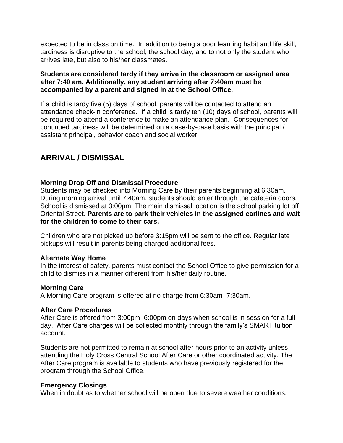expected to be in class on time. In addition to being a poor learning habit and life skill, tardiness is disruptive to the school, the school day, and to not only the student who arrives late, but also to his/her classmates.

## **Students are considered tardy if they arrive in the classroom or assigned area after 7:40 am. Additionally, any student arriving after 7:40am must be accompanied by a parent and signed in at the School Office**.

If a child is tardy five (5) days of school, parents will be contacted to attend an attendance check-in conference. If a child is tardy ten (10) days of school, parents will be required to attend a conference to make an attendance plan. Consequences for continued tardiness will be determined on a case-by-case basis with the principal / assistant principal, behavior coach and social worker.

# **ARRIVAL / DISMISSAL**

## **Morning Drop Off and Dismissal Procedure**

Students may be checked into Morning Care by their parents beginning at 6:30am. During morning arrival until 7:40am, students should enter through the cafeteria doors. School is dismissed at 3:00pm. The main dismissal location is the school parking lot off Oriental Street. **Parents are to park their vehicles in the assigned carlines and wait for the children to come to their cars.**

Children who are not picked up before 3:15pm will be sent to the office. Regular late pickups will result in parents being charged additional fees.

## **Alternate Way Home**

In the interest of safety, parents must contact the School Office to give permission for a child to dismiss in a manner different from his/her daily routine.

## **Morning Care**

A Morning Care program is offered at no charge from 6:30am–7:30am.

## **After Care Procedures**

After Care is offered from 3:00pm–6:00pm on days when school is in session for a full day. After Care charges will be collected monthly through the family's SMART tuition account.

Students are not permitted to remain at school after hours prior to an activity unless attending the Holy Cross Central School After Care or other coordinated activity. The After Care program is available to students who have previously registered for the program through the School Office.

## **Emergency Closings**

When in doubt as to whether school will be open due to severe weather conditions,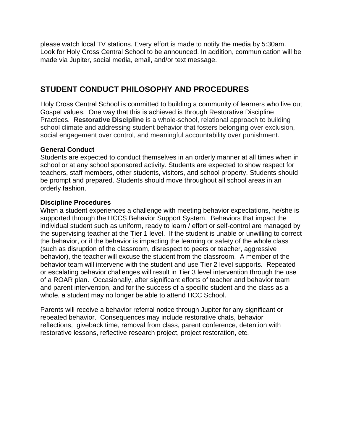please watch local TV stations. Every effort is made to notify the media by 5:30am. Look for Holy Cross Central School to be announced. In addition, communication will be made via Jupiter, social media, email, and/or text message.

# **STUDENT CONDUCT PHILOSOPHY AND PROCEDURES**

Holy Cross Central School is committed to building a community of learners who live out Gospel values. One way that this is achieved is through Restorative Discipline Practices. **Restorative Discipline** is a whole-school, relational approach to building school climate and addressing student behavior that fosters belonging over exclusion, social engagement over control, and meaningful accountability over punishment.

## **General Conduct**

Students are expected to conduct themselves in an orderly manner at all times when in school or at any school sponsored activity. Students are expected to show respect for teachers, staff members, other students, visitors, and school property. Students should be prompt and prepared. Students should move throughout all school areas in an orderly fashion.

## **Discipline Procedures**

When a student experiences a challenge with meeting behavior expectations, he/she is supported through the HCCS Behavior Support System. Behaviors that impact the individual student such as uniform, ready to learn / effort or self-control are managed by the supervising teacher at the Tier 1 level. If the student is unable or unwilling to correct the behavior, or if the behavior is impacting the learning or safety of the whole class (such as disruption of the classroom, disrespect to peers or teacher, aggressive behavior), the teacher will excuse the student from the classroom. A member of the behavior team will intervene with the student and use Tier 2 level supports. Repeated or escalating behavior challenges will result in Tier 3 level intervention through the use of a ROAR plan. Occasionally, after significant efforts of teacher and behavior team and parent intervention, and for the success of a specific student and the class as a whole, a student may no longer be able to attend HCC School.

Parents will receive a behavior referral notice through Jupiter for any significant or repeated behavior. Consequences may include restorative chats, behavior reflections, giveback time, removal from class, parent conference, detention with restorative lessons, reflective research project, project restoration, etc.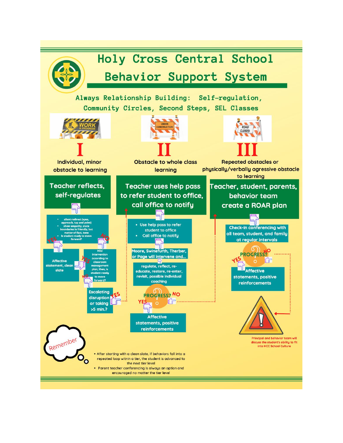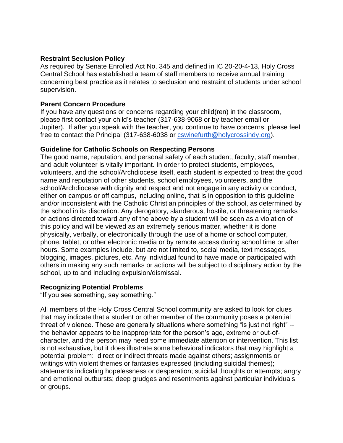#### **Restraint Seclusion Policy**

As required by Senate Enrolled Act No. 345 and defined in IC 20-20-4-13, Holy Cross Central School has established a team of staff members to receive annual training concerning best practice as it relates to seclusion and restraint of students under school supervision.

#### **Parent Concern Procedure**

If you have any questions or concerns regarding your child(ren) in the classroom, please first contact your child's teacher (317-638-9068 or by teacher email or Jupiter). If after you speak with the teacher, you continue to have concerns, please feel free to contact the Principal (317-638-6038 or [cswinefurth@holycrossindy.org\)](mailto:cswinefurth@holycrossindy.org).

#### **Guideline for Catholic Schools on Respecting Persons**

The good name, reputation, and personal safety of each student, faculty, staff member, and adult volunteer is vitally important. In order to protect students, employees, volunteers, and the school/Archdiocese itself, each student is expected to treat the good name and reputation of other students, school employees, volunteers, and the school/Archdiocese with dignity and respect and not engage in any activity or conduct, either on campus or off campus, including online, that is in opposition to this guideline and/or inconsistent with the Catholic Christian principles of the school, as determined by the school in its discretion. Any derogatory, slanderous, hostile, or threatening remarks or actions directed toward any of the above by a student will be seen as a violation of this policy and will be viewed as an extremely serious matter, whether it is done physically, verbally, or electronically through the use of a home or school computer, phone, tablet, or other electronic media or by remote access during school time or after hours. Some examples include, but are not limited to, social media, text messages, blogging, images, pictures, etc. Any individual found to have made or participated with others in making any such remarks or actions will be subject to disciplinary action by the school, up to and including expulsion/dismissal.

#### **Recognizing Potential Problems**

"If you see something, say something."

All members of the Holy Cross Central School community are asked to look for clues that may indicate that a student or other member of the community poses a potential threat of violence. These are generally situations where something "is just not right" - the behavior appears to be inappropriate for the person's age, extreme or out-ofcharacter, and the person may need some immediate attention or intervention. This list is not exhaustive, but it does illustrate some behavioral indicators that may highlight a potential problem: direct or indirect threats made against others; assignments or writings with violent themes or fantasies expressed (including suicidal themes); statements indicating hopelessness or desperation; suicidal thoughts or attempts; angry and emotional outbursts; deep grudges and resentments against particular individuals or groups.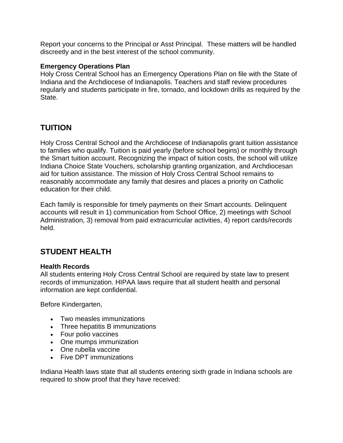Report your concerns to the Principal or Asst Principal. These matters will be handled discreetly and in the best interest of the school community.

## **Emergency Operations Plan**

Holy Cross Central School has an Emergency Operations Plan on file with the State of Indiana and the Archdiocese of Indianapolis. Teachers and staff review procedures regularly and students participate in fire, tornado, and lockdown drills as required by the State.

# **TUITION**

Holy Cross Central School and the Archdiocese of Indianapolis grant tuition assistance to families who qualify. Tuition is paid yearly (before school begins) or monthly through the Smart tuition account. Recognizing the impact of tuition costs, the school will utilize Indiana Choice State Vouchers, scholarship granting organization, and Archdiocesan aid for tuition assistance. The mission of Holy Cross Central School remains to reasonably accommodate any family that desires and places a priority on Catholic education for their child.

Each family is responsible for timely payments on their Smart accounts. Delinquent accounts will result in 1) communication from School Office, 2) meetings with School Administration, 3) removal from paid extracurricular activities, 4) report cards/records held.

# **STUDENT HEALTH**

#### **Health Records**

All students entering Holy Cross Central School are required by state law to present records of immunization. HIPAA laws require that all student health and personal information are kept confidential.

Before Kindergarten,

- Two measles immunizations
- Three hepatitis B immunizations
- Four polio vaccines
- One mumps immunization
- One rubella vaccine
- Five DPT immunizations

Indiana Health laws state that all students entering sixth grade in Indiana schools are required to show proof that they have received: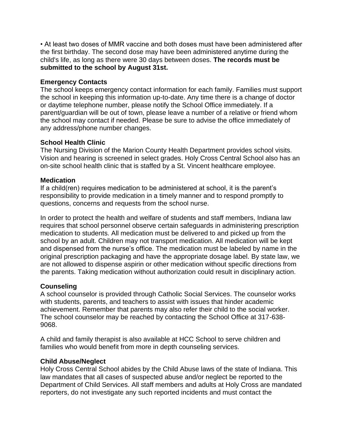• At least two doses of MMR vaccine and both doses must have been administered after the first birthday. The second dose may have been administered anytime during the child's life, as long as there were 30 days between doses. **The records must be submitted to the school by August 31st.**

## **Emergency Contacts**

The school keeps emergency contact information for each family. Families must support the school in keeping this information up-to-date. Any time there is a change of doctor or daytime telephone number, please notify the School Office immediately. If a parent/guardian will be out of town, please leave a number of a relative or friend whom the school may contact if needed. Please be sure to advise the office immediately of any address/phone number changes.

## **School Health Clinic**

The Nursing Division of the Marion County Health Department provides school visits. Vision and hearing is screened in select grades. Holy Cross Central School also has an on-site school health clinic that is staffed by a St. Vincent healthcare employee.

## **Medication**

If a child(ren) requires medication to be administered at school, it is the parent's responsibility to provide medication in a timely manner and to respond promptly to questions, concerns and requests from the school nurse.

In order to protect the health and welfare of students and staff members, Indiana law requires that school personnel observe certain safeguards in administering prescription medication to students. All medication must be delivered to and picked up from the school by an adult. Children may not transport medication. All medication will be kept and dispensed from the nurse's office. The medication must be labeled by name in the original prescription packaging and have the appropriate dosage label. By state law, we are not allowed to dispense aspirin or other medication without specific directions from the parents. Taking medication without authorization could result in disciplinary action.

# **Counseling**

A school counselor is provided through Catholic Social Services. The counselor works with students, parents, and teachers to assist with issues that hinder academic achievement. Remember that parents may also refer their child to the social worker. The school counselor may be reached by contacting the School Office at 317-638- 9068.

A child and family therapist is also available at HCC School to serve children and families who would benefit from more in depth counseling services.

## **Child Abuse/Neglect**

Holy Cross Central School abides by the Child Abuse laws of the state of Indiana. This law mandates that all cases of suspected abuse and/or neglect be reported to the Department of Child Services. All staff members and adults at Holy Cross are mandated reporters, do not investigate any such reported incidents and must contact the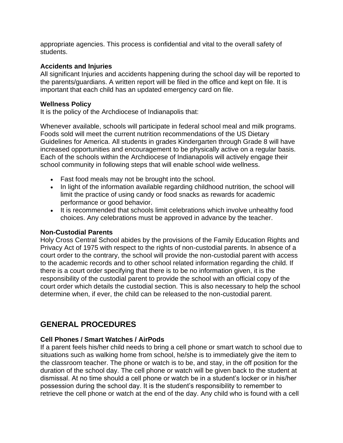appropriate agencies. This process is confidential and vital to the overall safety of students.

## **Accidents and Injuries**

All significant Injuries and accidents happening during the school day will be reported to the parents/guardians. A written report will be filed in the office and kept on file. It is important that each child has an updated emergency card on file.

## **Wellness Policy**

It is the policy of the Archdiocese of Indianapolis that:

Whenever available, schools will participate in federal school meal and milk programs. Foods sold will meet the current nutrition recommendations of the US Dietary Guidelines for America. All students in grades Kindergarten through Grade 8 will have increased opportunities and encouragement to be physically active on a regular basis. Each of the schools within the Archdiocese of Indianapolis will actively engage their school community in following steps that will enable school wide wellness.

- Fast food meals may not be brought into the school.
- In light of the information available regarding childhood nutrition, the school will limit the practice of using candy or food snacks as rewards for academic performance or good behavior.
- It is recommended that schools limit celebrations which involve unhealthy food choices. Any celebrations must be approved in advance by the teacher.

## **Non-Custodial Parents**

Holy Cross Central School abides by the provisions of the Family Education Rights and Privacy Act of 1975 with respect to the rights of non-custodial parents. In absence of a court order to the contrary, the school will provide the non-custodial parent with access to the academic records and to other school related information regarding the child. If there is a court order specifying that there is to be no information given, it is the responsibility of the custodial parent to provide the school with an official copy of the court order which details the custodial section. This is also necessary to help the school determine when, if ever, the child can be released to the non-custodial parent.

# **GENERAL PROCEDURES**

## **Cell Phones / Smart Watches / AirPods**

If a parent feels his/her child needs to bring a cell phone or smart watch to school due to situations such as walking home from school, he/she is to immediately give the item to the classroom teacher. The phone or watch is to be, and stay, in the off position for the duration of the school day. The cell phone or watch will be given back to the student at dismissal. At no time should a cell phone or watch be in a student's locker or in his/her possession during the school day. It is the student's responsibility to remember to retrieve the cell phone or watch at the end of the day. Any child who is found with a cell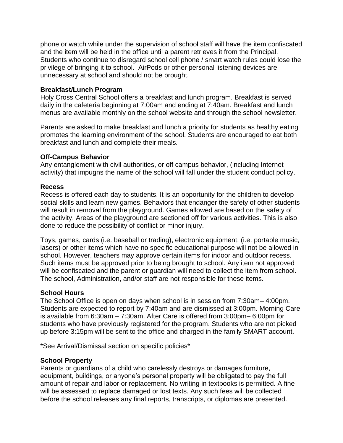phone or watch while under the supervision of school staff will have the item confiscated and the item will be held in the office until a parent retrieves it from the Principal. Students who continue to disregard school cell phone / smart watch rules could lose the privilege of bringing it to school. AirPods or other personal listening devices are unnecessary at school and should not be brought.

#### **Breakfast/Lunch Program**

Holy Cross Central School offers a breakfast and lunch program. Breakfast is served daily in the cafeteria beginning at 7:00am and ending at 7:40am. Breakfast and lunch menus are available monthly on the school website and through the school newsletter.

Parents are asked to make breakfast and lunch a priority for students as healthy eating promotes the learning environment of the school. Students are encouraged to eat both breakfast and lunch and complete their meals.

#### **Off-Campus Behavior**

Any entanglement with civil authorities, or off campus behavior, (including Internet activity) that impugns the name of the school will fall under the student conduct policy.

#### **Recess**

Recess is offered each day to students. It is an opportunity for the children to develop social skills and learn new games. Behaviors that endanger the safety of other students will result in removal from the playground. Games allowed are based on the safety of the activity. Areas of the playground are sectioned off for various activities. This is also done to reduce the possibility of conflict or minor injury.

Toys, games, cards (i.e. baseball or trading), electronic equipment, (i.e. portable music, lasers) or other items which have no specific educational purpose will not be allowed in school. However, teachers may approve certain items for indoor and outdoor recess. Such items must be approved prior to being brought to school. Any item not approved will be confiscated and the parent or guardian will need to collect the item from school. The school, Administration, and/or staff are not responsible for these items.

## **School Hours**

The School Office is open on days when school is in session from 7:30am– 4:00pm. Students are expected to report by 7:40am and are dismissed at 3:00pm. Morning Care is available from 6:30am – 7:30am. After Care is offered from 3:00pm– 6:00pm for students who have previously registered for the program. Students who are not picked up before 3:15pm will be sent to the office and charged in the family SMART account.

\*See Arrival/Dismissal section on specific policies\*

#### **School Property**

Parents or guardians of a child who carelessly destroys or damages furniture, equipment, buildings, or anyone's personal property will be obligated to pay the full amount of repair and labor or replacement. No writing in textbooks is permitted. A fine will be assessed to replace damaged or lost texts. Any such fees will be collected before the school releases any final reports, transcripts, or diplomas are presented.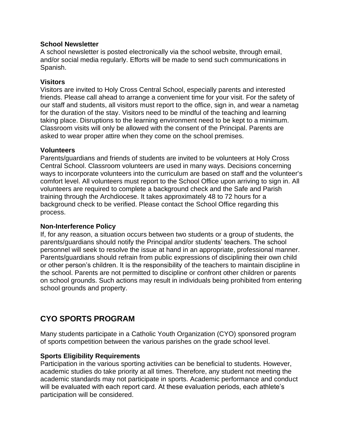## **School Newsletter**

A school newsletter is posted electronically via the school website, through email, and/or social media regularly. Efforts will be made to send such communications in Spanish.

#### **Visitors**

Visitors are invited to Holy Cross Central School, especially parents and interested friends. Please call ahead to arrange a convenient time for your visit. For the safety of our staff and students, all visitors must report to the office, sign in, and wear a nametag for the duration of the stay. Visitors need to be mindful of the teaching and learning taking place. Disruptions to the learning environment need to be kept to a minimum. Classroom visits will only be allowed with the consent of the Principal. Parents are asked to wear proper attire when they come on the school premises.

#### **Volunteers**

Parents/guardians and friends of students are invited to be volunteers at Holy Cross Central School. Classroom volunteers are used in many ways. Decisions concerning ways to incorporate volunteers into the curriculum are based on staff and the volunteer's comfort level. All volunteers must report to the School Office upon arriving to sign in. All volunteers are required to complete a background check and the Safe and Parish training through the Archdiocese. It takes approximately 48 to 72 hours for a background check to be verified. Please contact the School Office regarding this process.

## **Non-Interference Policy**

If, for any reason, a situation occurs between two students or a group of students, the parents/guardians should notify the Principal and/or students' teachers. The school personnel will seek to resolve the issue at hand in an appropriate, professional manner. Parents/guardians should refrain from public expressions of disciplining their own child or other person's children. It is the responsibility of the teachers to maintain discipline in the school. Parents are not permitted to discipline or confront other children or parents on school grounds. Such actions may result in individuals being prohibited from entering school grounds and property.

# **CYO SPORTS PROGRAM**

Many students participate in a Catholic Youth Organization (CYO) sponsored program of sports competition between the various parishes on the grade school level.

## **Sports Eligibility Requirements**

Participation in the various sporting activities can be beneficial to students. However, academic studies do take priority at all times. Therefore, any student not meeting the academic standards may not participate in sports. Academic performance and conduct will be evaluated with each report card. At these evaluation periods, each athlete's participation will be considered.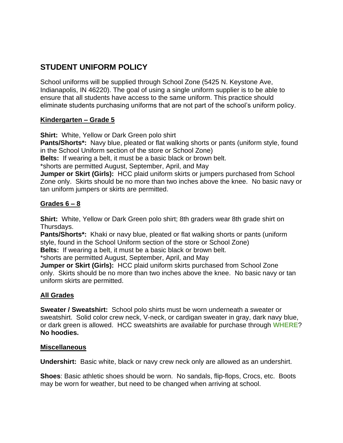# **STUDENT UNIFORM POLICY**

School uniforms will be supplied through School Zone (5425 N. Keystone Ave, Indianapolis, IN 46220). The goal of using a single uniform supplier is to be able to ensure that all students have access to the same uniform. This practice should eliminate students purchasing uniforms that are not part of the school's uniform policy.

## **Kindergarten – Grade 5**

**Shirt:** White, Yellow or Dark Green polo shirt

**Pants/Shorts\*:** Navy blue, pleated or flat walking shorts or pants (uniform style, found in the School Uniform section of the store or School Zone)

**Belts:** If wearing a belt, it must be a basic black or brown belt.

\*shorts are permitted August, September, April, and May

**Jumper or Skirt (Girls):** HCC plaid uniform skirts or jumpers purchased from School Zone only. Skirts should be no more than two inches above the knee. No basic navy or tan uniform jumpers or skirts are permitted.

# **Grades 6 – 8**

**Shirt:** White, Yellow or Dark Green polo shirt; 8th graders wear 8th grade shirt on Thursdays.

**Pants/Shorts\*:** Khaki or navy blue, pleated or flat walking shorts or pants (uniform style, found in the School Uniform section of the store or School Zone)

**Belts:** If wearing a belt, it must be a basic black or brown belt.

\*shorts are permitted August, September, April, and May

**Jumper or Skirt (Girls):** HCC plaid uniform skirts purchased from School Zone only. Skirts should be no more than two inches above the knee. No basic navy or tan uniform skirts are permitted.

# **All Grades**

**Sweater / Sweatshirt:** School polo shirts must be worn underneath a sweater or sweatshirt. Solid color crew neck, V-neck, or cardigan sweater in gray, dark navy blue, or dark green is allowed. HCC sweatshirts are available for purchase through **WHERE**? **No hoodies.**

## **Miscellaneous**

**Undershirt:** Basic white, black or navy crew neck only are allowed as an undershirt.

**Shoes**: Basic athletic shoes should be worn. No sandals, flip-flops, Crocs, etc. Boots may be worn for weather, but need to be changed when arriving at school.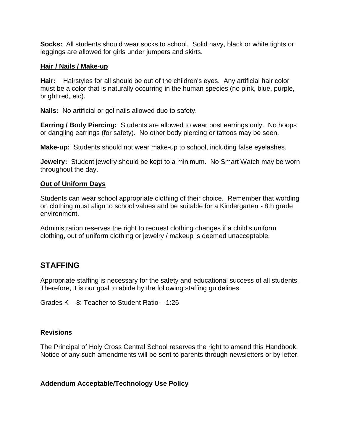**Socks:** All students should wear socks to school. Solid navy, black or white tights or leggings are allowed for girls under jumpers and skirts.

#### **Hair / Nails / Make-up**

**Hair:** Hairstyles for all should be out of the children's eyes. Any artificial hair color must be a color that is naturally occurring in the human species (no pink, blue, purple, bright red, etc).

**Nails:** No artificial or gel nails allowed due to safety.

**Earring / Body Piercing:** Students are allowed to wear post earrings only. No hoops or dangling earrings (for safety). No other body piercing or tattoos may be seen.

**Make-up:** Students should not wear make-up to school, including false eyelashes.

**Jewelry:** Student jewelry should be kept to a minimum. No Smart Watch may be worn throughout the day.

## **Out of Uniform Days**

Students can wear school appropriate clothing of their choice. Remember that wording on clothing must align to school values and be suitable for a Kindergarten - 8th grade environment.

Administration reserves the right to request clothing changes if a child's uniform clothing, out of uniform clothing or jewelry / makeup is deemed unacceptable.

# **STAFFING**

Appropriate staffing is necessary for the safety and educational success of all students. Therefore, it is our goal to abide by the following staffing guidelines.

Grades K – 8: Teacher to Student Ratio – 1:26

## **Revisions**

The Principal of Holy Cross Central School reserves the right to amend this Handbook. Notice of any such amendments will be sent to parents through newsletters or by letter.

## **Addendum Acceptable/Technology Use Policy**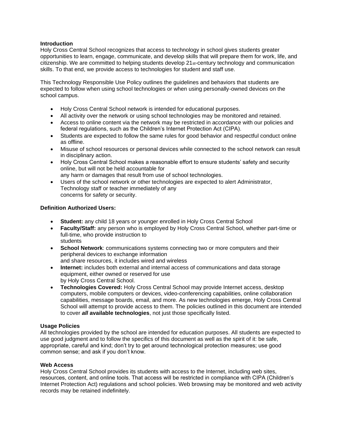#### **Introduction**

Holy Cross Central School recognizes that access to technology in school gives students greater opportunities to learn, engage, communicate, and develop skills that will prepare them for work, life, and citizenship. We are committed to helping students develop 21st-century technology and communication skills. To that end, we provide access to technologies for student and staff use.

This Technology Responsible Use Policy outlines the guidelines and behaviors that students are expected to follow when using school technologies or when using personally-owned devices on the school campus.

- Holy Cross Central School network is intended for educational purposes.
- All activity over the network or using school technologies may be monitored and retained.
- Access to online content via the network may be restricted in accordance with our policies and federal regulations, such as the Children's Internet Protection Act (CIPA).
- Students are expected to follow the same rules for good behavior and respectful conduct online as offline.
- Misuse of school resources or personal devices while connected to the school network can result in disciplinary action.
- Holy Cross Central School makes a reasonable effort to ensure students' safety and security online, but will not be held accountable for any harm or damages that result from use of school technologies.
- Users of the school network or other technologies are expected to alert Administrator, Technology staff or teacher immediately of any concerns for safety or security.

#### **Definition Authorized Users:**

- **Student:** any child 18 years or younger enrolled in Holy Cross Central School
- **Faculty/Staff:** any person who is employed by Holy Cross Central School, whether part-time or full-time, who provide instruction to students
- **School Network**: communications systems connecting two or more computers and their peripheral devices to exchange information and share resources, it includes wired and wireless
- **Internet:** includes both external and internal access of communications and data storage equipment, either owned or reserved for use by Holy Cross Central School.
- **Technologies Covered:** Holy Cross Central School may provide Internet access, desktop computers, mobile computers or devices, video-conferencing capabilities, online collaboration capabilities, message boards, email, and more. As new technologies emerge, Holy Cross Central School will attempt to provide access to them. The policies outlined in this document are intended to cover *all* **available technologies**, not just those specifically listed.

#### **Usage Policies**

All technologies provided by the school are intended for education purposes. All students are expected to use good judgment and to follow the specifics of this document as well as the spirit of it: be safe, appropriate, careful and kind; don't try to get around technological protection measures; use good common sense; and ask if you don't know.

#### **Web Access**

Holy Cross Central School provides its students with access to the Internet, including web sites, resources, content, and online tools. That access will be restricted in compliance with CIPA (Children's Internet Protection Act) regulations and school policies. Web browsing may be monitored and web activity records may be retained indefinitely.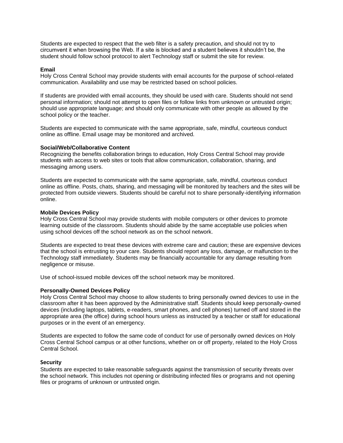Students are expected to respect that the web filter is a safety precaution, and should not try to circumvent it when browsing the Web. If a site is blocked and a student believes it shouldn't be, the student should follow school protocol to alert Technology staff or submit the site for review.

#### **Email**

Holy Cross Central School may provide students with email accounts for the purpose of school-related communication. Availability and use may be restricted based on school policies.

If students are provided with email accounts, they should be used with care. Students should not send personal information; should not attempt to open files or follow links from unknown or untrusted origin; should use appropriate language; and should only communicate with other people as allowed by the school policy or the teacher.

Students are expected to communicate with the same appropriate, safe, mindful, courteous conduct online as offline. Email usage may be monitored and archived.

#### **Social/Web/Collaborative Content**

Recognizing the benefits collaboration brings to education, Holy Cross Central School may provide students with access to web sites or tools that allow communication, collaboration, sharing, and messaging among users.

Students are expected to communicate with the same appropriate, safe, mindful, courteous conduct online as offline. Posts, chats, sharing, and messaging will be monitored by teachers and the sites will be protected from outside viewers. Students should be careful not to share personally-identifying information online.

#### **Mobile Devices Policy**

Holy Cross Central School may provide students with mobile computers or other devices to promote learning outside of the classroom. Students should abide by the same acceptable use policies when using school devices off the school network as on the school network.

Students are expected to treat these devices with extreme care and caution; these are expensive devices that the school is entrusting to your care. Students should report any loss, damage, or malfunction to the Technology staff immediately. Students may be financially accountable for any damage resulting from negligence or misuse.

Use of school-issued mobile devices off the school network may be monitored.

#### **Personally-Owned Devices Policy**

Holy Cross Central School may choose to allow students to bring personally owned devices to use in the classroom after it has been approved by the Administrative staff. Students should keep personally-owned devices (including laptops, tablets, e-readers, smart phones, and cell phones) turned off and stored in the appropriate area (the office) during school hours unless as instructed by a teacher or staff for educational purposes or in the event of an emergency.

Students are expected to follow the same code of conduct for use of personally owned devices on Holy Cross Central School campus or at other functions, whether on or off property, related to the Holy Cross Central School.

#### **Security**

Students are expected to take reasonable safeguards against the transmission of security threats over the school network. This includes not opening or distributing infected files or programs and not opening files or programs of unknown or untrusted origin.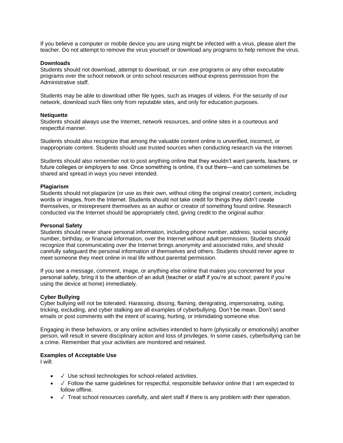If you believe a computer or mobile device you are using might be infected with a virus, please alert the teacher. Do not attempt to remove the virus yourself or download any programs to help remove the virus.

#### **Downloads**

Students should not download, attempt to download, or run .exe programs or any other executable programs over the school network or onto school resources without express permission from the Administrative staff.

Students may be able to download other file types, such as images of videos. For the security of our network, download such files only from reputable sites, and only for education purposes.

#### **Netiquette**

Students should always use the Internet, network resources, and online sites in a courteous and respectful manner.

Students should also recognize that among the valuable content online is unverified, incorrect, or inappropriate content. Students should use trusted sources when conducting research via the Internet.

Students should also remember not to post anything online that they wouldn't want parents, teachers, or future colleges or employers to see. Once something is online, it's out there—and can sometimes be shared and spread in ways you never intended.

#### **Plagiarism**

Students should not plagiarize (or use as their own, without citing the original creator) content, including words or images, from the Internet. Students should not take credit for things they didn't create themselves, or misrepresent themselves as an author or creator of something found online. Research conducted via the Internet should be appropriately cited, giving credit to the original author.

#### **Personal Safety**

Students should never share personal information, including phone number, address, social security number, birthday, or financial information, over the Internet without adult permission. Students should recognize that communicating over the Internet brings anonymity and associated risks, and should carefully safeguard the personal information of themselves and others. Students should never agree to meet someone they meet online in real life without parental permission.

If you see a message, comment, image, or anything else online that makes you concerned for your personal safety, bring it to the attention of an adult (teacher or staff if you're at school; parent if you're using the device at home) immediately.

#### **Cyber Bullying**

Cyber bullying will not be tolerated. Harassing, dissing, flaming, denigrating, impersonating, outing, tricking, excluding, and cyber stalking are all examples of cyberbullying. Don't be mean. Don't send emails or post comments with the intent of scaring, hurting, or intimidating someone else.

Engaging in these behaviors, or any online activities intended to harm (physically or emotionally) another person, will result in severe disciplinary action and loss of privileges. In some cases, cyberbullying can be a crime. Remember that your activities are monitored and retained.

#### **Examples of Acceptable Use**

I will:

- ✓ Use school technologies for school-related activities.
- $\checkmark$  Follow the same guidelines for respectful, responsible behavior online that I am expected to follow offline.
- $\checkmark$  Treat school resources carefully, and alert staff if there is any problem with their operation.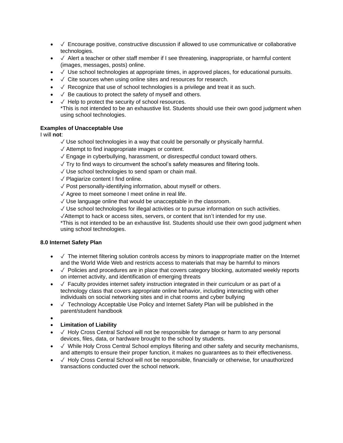- $\checkmark$  Encourage positive, constructive discussion if allowed to use communicative or collaborative technologies.
- $\checkmark$  Alert a teacher or other staff member if I see threatening, inappropriate, or harmful content (images, messages, posts) online.
- $\sqrt{\ }$  Use school technologies at appropriate times, in approved places, for educational pursuits.
- $\sqrt{\ }$  Cite sources when using online sites and resources for research.
- $\sqrt{\ }$  Recognize that use of school technologies is a privilege and treat it as such.
- $\sqrt{\ }$  Be cautious to protect the safety of myself and others.
- $\sqrt{\phantom{a}}$  Help to protect the security of school resources. \*This is not intended to be an exhaustive list. Students should use their own good judgment when using school technologies.

#### **Examples of Unacceptable Use**

I will **not**:

- $\sqrt{2}$  Use school technologies in a way that could be personally or physically harmful.
- ✓ Attempt to find inappropriate images or content.
- ✓ Engage in cyberbullying, harassment, or disrespectful conduct toward others.
- $\sqrt{ }$  Try to find ways to circumvent the school's safety measures and filtering tools.
- ✓ Use school technologies to send spam or chain mail.
- ✓ Plagiarize content I find online.
- ✓ Post personally-identifying information, about myself or others.
- ✓ Agree to meet someone I meet online in real life.
- ✓ Use language online that would be unacceptable in the classroom.
- ✓ Use school technologies for illegal activities or to pursue information on such activities.
- ✓Attempt to hack or access sites, servers, or content that isn't intended for my use.

\*This is not intended to be an exhaustive list. Students should use their own good judgment when using school technologies.

#### **8.0 Internet Safety Plan**

- √ The internet filtering solution controls access by minors to inappropriate matter on the Internet and the World Wide Web and restricts access to materials that may be harmful to minors
- √ Policies and procedures are in place that covers category blocking, automated weekly reports on internet activity, and identification of emerging threats
- $\checkmark$  Faculty provides internet safety instruction integrated in their curriculum or as part of a technology class that covers appropriate online behavior, including interacting with other individuals on social networking sites and in chat rooms and cyber bullying
- ✓ Technology Acceptable Use Policy and Internet Safety Plan will be published in the parent/student handbook
- •

#### • **Limitation of Liability**

- ✓ Holy Cross Central School will not be responsible for damage or harm to any personal devices, files, data, or hardware brought to the school by students.
- $\checkmark$  While Holy Cross Central School employs filtering and other safety and security mechanisms, and attempts to ensure their proper function, it makes no guarantees as to their effectiveness.
- $\checkmark$  Holy Cross Central School will not be responsible, financially or otherwise, for unauthorized transactions conducted over the school network.